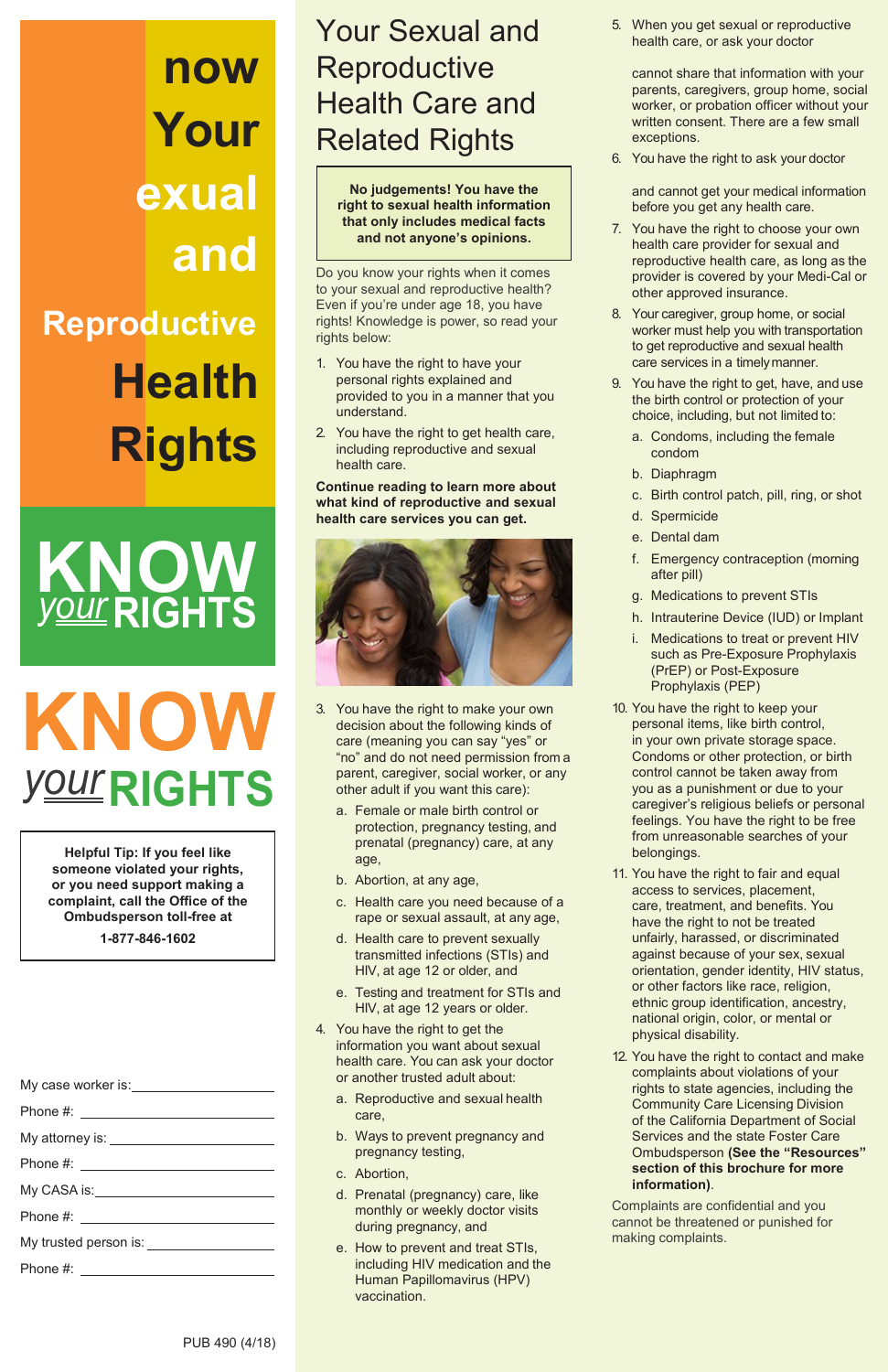**Helpful Tip: If you feel like someone violated your rights, or you need support making a complaint, call the Office of the Ombudsperson toll-free at**

**1-877-846-1602**

# **KNOW** *your***RIGHTS**

My case worker is:

Phone #: <u>contract the set of the set of the set of the set of the set of the set of the set of the set of the set of the set of the set of the set of the set of the set of the set of the set of the set of the set of the s</u>

My attorney is: \_\_\_\_\_\_\_\_\_\_\_\_\_\_\_\_\_\_\_\_\_\_\_\_\_\_\_\_

Phone #:

My CASA is:

Phone #:

My trusted person is:<br>
<u>My</u> trusted person is:

Phone #:

## Your Sexual and **Reproductive** Health Care and Related Rights

Do you know your rights when it comes to your sexual and reproductive health? Even if you're under age 18, you have rights! Knowledge is power, so read your rights below:

- 1. You have the right to have your personal rights explained and provided to you in a manner that you understand.
- 2. You have the right to get health care, including reproductive and sexual health care.

**Continue reading to learn more about what kind of reproductive and sexual health care services you can get.**



- 3. You have the right to make your own decision about the following kinds of care (meaning you can say "yes" or "no" and do not need permission from a parent, caregiver, social worker, or any other adult if you want this care):
	- a. Female or male birth control or protection, pregnancy testing, and prenatal (pregnancy) care, at any age,
	- b. Abortion, at any age,
	- c. Health care you need because of a rape or sexual assault, at any age,
	- d. Health care to prevent sexually transmitted infections (STIs) and HIV, at age 12 or older, and
	- e. Testing and treatment for STIs and HIV, at age 12 years or older.

- 4. You have the right to get the information you want about sexual health care. You can ask your doctor or another trusted adult about:
	- a. Reproductive and sexual health care,
	- b. Ways to prevent pregnancy and pregnancy testing,
	- c. Abortion,
	- d. Prenatal (pregnancy) care, like monthly or weekly doctor visits during pregnancy, and
	- e. How to prevent and treat STIs, including HIV medication and the Human Papillomavirus (HPV) vaccination.

5. When you get sexual or reproductive health care, or ask your doctor

cannot share that information with your parents, caregivers, group home, social worker, or probation officer without your written consent. There are a few small exceptions.

6. You have the right to ask your doctor

and cannot get your medical information before you get any health care.

- 7. You have the right to choose your own health care provider for sexual and reproductive health care, as long as the provider is covered by your Medi-Cal or other approved insurance.
- 8. Your caregiver, group home, or social worker must help you with transportation to get reproductive and sexual health care services in a timelymanner.
- 9. You have the right to get, have, and use the birth control or protection of your choice, including, but not limited to:
	- a. Condoms, including the female condom
	- b. Diaphragm
	- c. Birth control patch, pill, ring, or shot
	- d. Spermicide
	- e. Dental dam
	- f. Emergency contraception (morning after pill)
	- g. Medications to prevent STIs
	- h. Intrauterine Device (IUD) or Implant
	- i. Medications to treat or prevent HIV such as Pre-Exposure Prophylaxis (PrEP) or Post-Exposure Prophylaxis (PEP)
- 10. You have the right to keep your personal items, like birth control, in your own private storage space. Condoms or other protection, or birth control cannot be taken away from you as a punishment or due to your caregiver's religious beliefs or personal feelings. You have the right to be free from unreasonable searches of your belongings.
- 11. You have the right to fair and equal access to services, placement, care, treatment, and benefits. You have the right to not be treated unfairly, harassed, or discriminated against because of your sex, sexual orientation, gender identity, HIV status, or other factors like race, religion, ethnic group identification, ancestry,

national origin, color, or mental or physical disability.

12. You have the right to contact and make complaints about violations of your rights to state agencies, including the Community Care Licensing Division of the California Department of Social Services and the state Foster Care Ombudsperson **(See the "Resources" section of this brochure for more information)**.

Complaints are confidential and you cannot be threatened or punished for making complaints.

**No judgements! You have the right to sexual health information that only includes medical facts and not anyone's opinions.**

## **now Your exual and Reproductive Health Rights**